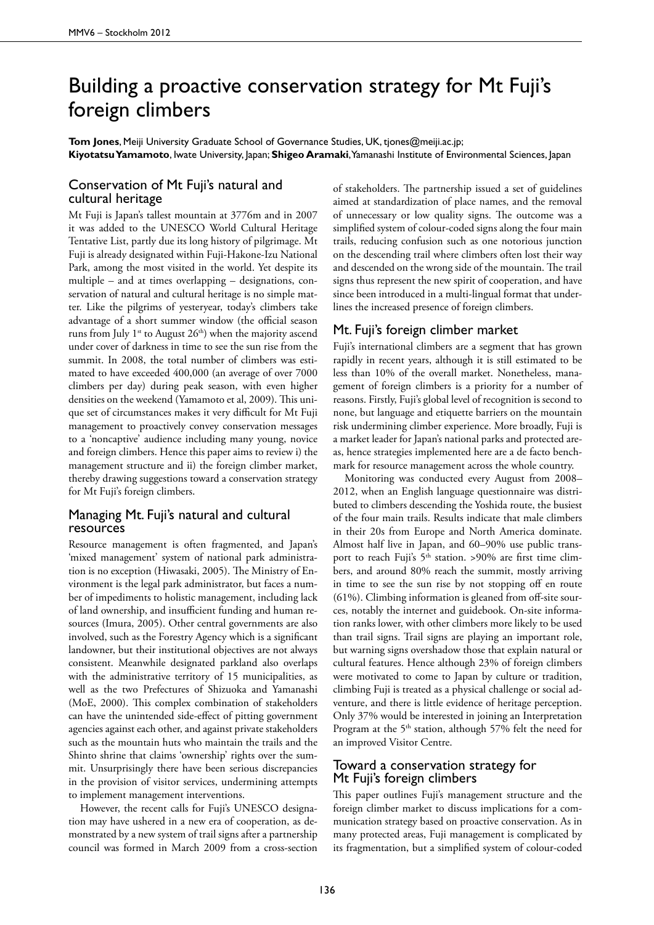# Building a proactive conservation strategy for Mt Fuji's foreign climbers

**Tom Jones**, Meiji University Graduate School of Governance Studies, UK, tjones@meiji.ac.jp; **Kiyotatsu Yamamoto**, Iwate University, Japan; **Shigeo Aramaki**, Yamanashi Institute of Environmental Sciences, Japan

### Conservation of Mt Fuji's natural and cultural heritage

Mt Fuji is Japan's tallest mountain at 3776m and in 2007 it was added to the UNESCO World Cultural Heritage Tentative List, partly due its long history of pilgrimage. Mt Fuji is already designated within Fuji-Hakone-Izu National Park, among the most visited in the world. Yet despite its multiple – and at times overlapping – designations, conservation of natural and cultural heritage is no simple matter. Like the pilgrims of yesteryear, today's climbers take advantage of a short summer window (the official season runs from July 1<sup>st</sup> to August  $26<sup>th</sup>$ ) when the majority ascend under cover of darkness in time to see the sun rise from the summit. In 2008, the total number of climbers was estimated to have exceeded 400,000 (an average of over 7000 climbers per day) during peak season, with even higher densities on the weekend (Yamamoto et al, 2009). This unique set of circumstances makes it very difficult for Mt Fuji management to proactively convey conservation messages to a 'noncaptive' audience including many young, novice and foreign climbers. Hence this paper aims to review i) the management structure and ii) the foreign climber market, thereby drawing suggestions toward a conservation strategy for Mt Fuji's foreign climbers.

#### Managing Mt. Fuji's natural and cultural resources

Resource management is often fragmented, and Japan's 'mixed management' system of national park administration is no exception (Hiwasaki, 2005). The Ministry of Environment is the legal park administrator, but faces a number of impediments to holistic management, including lack of land ownership, and insufficient funding and human resources (Imura, 2005). Other central governments are also involved, such as the Forestry Agency which is a significant landowner, but their institutional objectives are not always consistent. Meanwhile designated parkland also overlaps with the administrative territory of 15 municipalities, as well as the two Prefectures of Shizuoka and Yamanashi (MoE, 2000). This complex combination of stakeholders can have the unintended side-effect of pitting government agencies against each other, and against private stakeholders such as the mountain huts who maintain the trails and the Shinto shrine that claims 'ownership' rights over the summit. Unsurprisingly there have been serious discrepancies in the provision of visitor services, undermining attempts to implement management interventions.

However, the recent calls for Fuji's UNESCO designation may have ushered in a new era of cooperation, as demonstrated by a new system of trail signs after a partnership council was formed in March 2009 from a cross-section

of stakeholders. The partnership issued a set of guidelines aimed at standardization of place names, and the removal of unnecessary or low quality signs. The outcome was a simplified system of colour-coded signs along the four main trails, reducing confusion such as one notorious junction on the descending trail where climbers often lost their way and descended on the wrong side of the mountain. The trail signs thus represent the new spirit of cooperation, and have since been introduced in a multi-lingual format that underlines the increased presence of foreign climbers.

## Mt. Fuji's foreign climber market

Fuji's international climbers are a segment that has grown rapidly in recent years, although it is still estimated to be less than 10% of the overall market. Nonetheless, management of foreign climbers is a priority for a number of reasons. Firstly, Fuji's global level of recognition is second to none, but language and etiquette barriers on the mountain risk undermining climber experience. More broadly, Fuji is a market leader for Japan's national parks and protected areas, hence strategies implemented here are a de facto benchmark for resource management across the whole country.

Monitoring was conducted every August from 2008– 2012, when an English language questionnaire was distributed to climbers descending the Yoshida route, the busiest of the four main trails. Results indicate that male climbers in their 20s from Europe and North America dominate. Almost half live in Japan, and 60–90% use public transport to reach Fuji's  $5<sup>th</sup>$  station. >90% are first time climbers, and around 80% reach the summit, mostly arriving in time to see the sun rise by not stopping off en route (61%). Climbing information is gleaned from off-site sources, notably the internet and guidebook. On-site information ranks lower, with other climbers more likely to be used than trail signs. Trail signs are playing an important role, but warning signs overshadow those that explain natural or cultural features. Hence although 23% of foreign climbers were motivated to come to Japan by culture or tradition, climbing Fuji is treated as a physical challenge or social adventure, and there is little evidence of heritage perception. Only 37% would be interested in joining an Interpretation Program at the  $5<sup>th</sup>$  station, although 57% felt the need for an improved Visitor Centre.

#### Toward a conservation strategy for Mt Fuji's foreign climbers

This paper outlines Fuji's management structure and the foreign climber market to discuss implications for a communication strategy based on proactive conservation. As in many protected areas, Fuji management is complicated by its fragmentation, but a simplified system of colour-coded